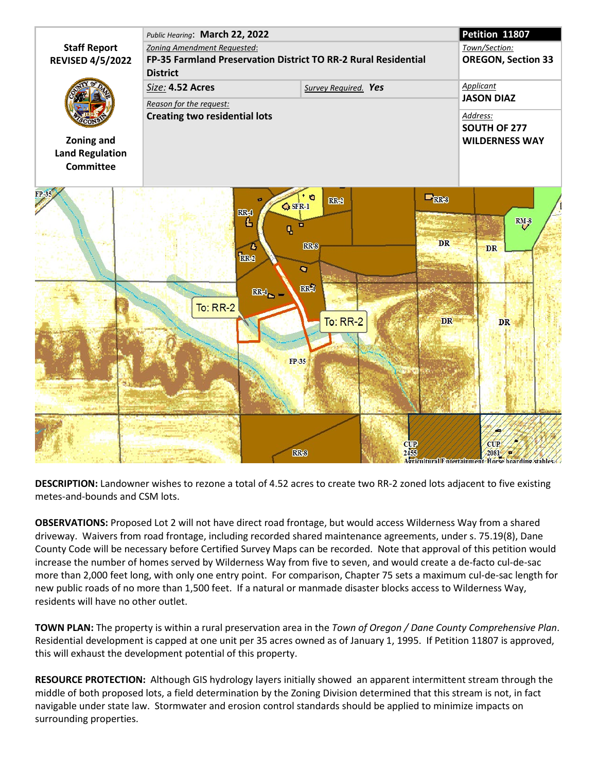

**DESCRIPTION:** Landowner wishes to rezone a total of 4.52 acres to create two RR-2 zoned lots adjacent to five existing metes-and-bounds and CSM lots.

**OBSERVATIONS:** Proposed Lot 2 will not have direct road frontage, but would access Wilderness Way from a shared driveway. Waivers from road frontage, including recorded shared maintenance agreements, under s. 75.19(8), Dane County Code will be necessary before Certified Survey Maps can be recorded. Note that approval of this petition would increase the number of homes served by Wilderness Way from five to seven, and would create a de-facto cul-de-sac more than 2,000 feet long, with only one entry point. For comparison, Chapter 75 sets a maximum cul-de-sac length for new public roads of no more than 1,500 feet. If a natural or manmade disaster blocks access to Wilderness Way, residents will have no other outlet.

**TOWN PLAN:** The property is within a rural preservation area in the *Town of Oregon / Dane County Comprehensive Plan*. Residential development is capped at one unit per 35 acres owned as of January 1, 1995. If Petition 11807 is approved, this will exhaust the development potential of this property.

**RESOURCE PROTECTION:** Although GIS hydrology layers initially showed an apparent intermittent stream through the middle of both proposed lots, a field determination by the Zoning Division determined that this stream is not, in fact navigable under state law. Stormwater and erosion control standards should be applied to minimize impacts on surrounding properties.